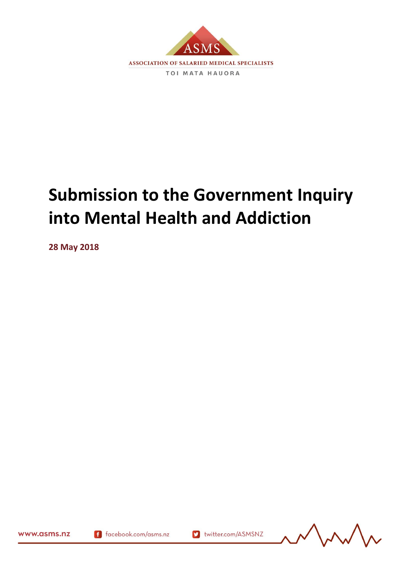

# **Submission to the Government Inquiry into Mental Health and Addiction**

**28 May 2018**



169977.3

f facebook.com/asms.nz

v twitter.com/ASMSNZ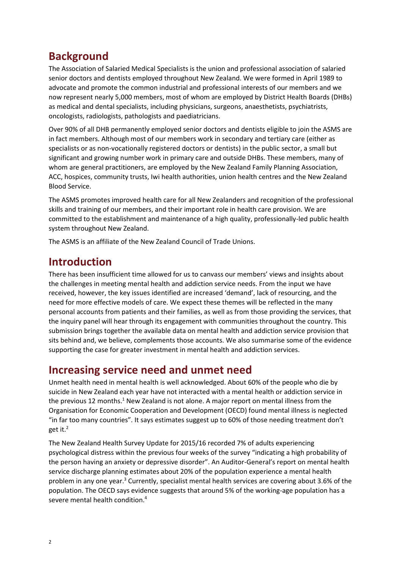# **Background**

The Association of Salaried Medical Specialists is the union and professional association of salaried senior doctors and dentists employed throughout New Zealand. We were formed in April 1989 to advocate and promote the common industrial and professional interests of our members and we now represent nearly 5,000 members, most of whom are employed by District Health Boards (DHBs) as medical and dental specialists, including physicians, surgeons, anaesthetists, psychiatrists, oncologists, radiologists, pathologists and paediatricians.

Over 90% of all DHB permanently employed senior doctors and dentists eligible to join the ASMS are in fact members. Although most of our members work in secondary and tertiary care (either as specialists or as non-vocationally registered doctors or dentists) in the public sector, a small but significant and growing number work in primary care and outside DHBs. These members, many of whom are general practitioners, are employed by the New Zealand Family Planning Association, ACC, hospices, community trusts, Iwi health authorities, union health centres and the New Zealand Blood Service.

The ASMS promotes improved health care for all New Zealanders and recognition of the professional skills and training of our members, and their important role in health care provision. We are committed to the establishment and maintenance of a high quality, professionally-led public health system throughout New Zealand.

The ASMS is an affiliate of the New Zealand Council of Trade Unions.

## **Introduction**

There has been insufficient time allowed for us to canvass our members' views and insights about the challenges in meeting mental health and addiction service needs. From the input we have received, however, the key issues identified are increased 'demand', lack of resourcing, and the need for more effective models of care. We expect these themes will be reflected in the many personal accounts from patients and their families, as well as from those providing the services, that the inquiry panel will hear through its engagement with communities throughout the country. This submission brings together the available data on mental health and addiction service provision that sits behind and, we believe, complements those accounts. We also summarise some of the evidence supporting the case for greater investment in mental health and addiction services.

## **Increasing service need and unmet need**

Unmet health need in mental health is well acknowledged. About 60% of the people who die by suicide in New Zealand each year have not interacted with a mental health or addiction service in the previous 12 months.<sup>1</sup> New Zealand is not alone. A major report on mental illness from the Organisation for Economic Cooperation and Development (OECD) found mental illness is neglected "in far too many countries". It says estimates suggest up to 60% of those needing treatment don't get it.<sup>2</sup>

The New Zealand Health Survey Update for 2015/16 recorded 7% of adults experiencing psychological distress within the previous four weeks of the survey "indicating a high probability of the person having an anxiety or depressive disorder". An Auditor-General's report on mental health service discharge planning estimates about 20% of the population experience a mental health problem in any one year.<sup>3</sup> Currently, specialist mental health services are covering about 3.6% of the population. The OECD says evidence suggests that around 5% of the working-age population has a severe mental health condition.<sup>4</sup>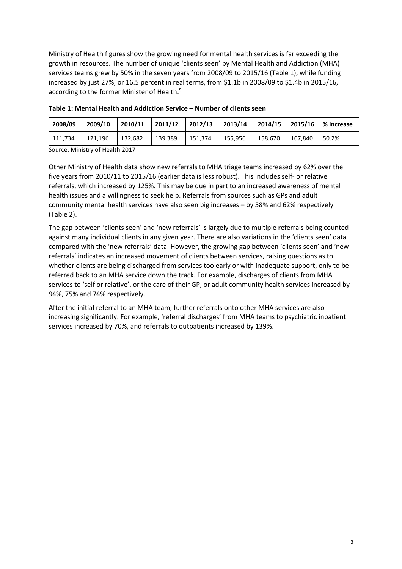Ministry of Health figures show the growing need for mental health services is far exceeding the growth in resources. The number of unique 'clients seen' by Mental Health and Addiction (MHA) services teams grew by 50% in the seven years from 2008/09 to 2015/16 (Table 1), while funding increased by just 27%, or 16.5 percent in real terms, from \$1.1b in 2008/09 to \$1.4b in 2015/16, according to the former Minister of Health.<sup>5</sup>

| 2008/09 | 2009/10 | 2010/11           |         | 2011/12   2012/13   2013/14   2014/15   2015/16 |         |         |         | ■ % Increase |
|---------|---------|-------------------|---------|-------------------------------------------------|---------|---------|---------|--------------|
| 111,734 | 121.196 | $ 132,682\rangle$ | 139,389 | 151,374                                         | 155,956 | 158.670 | 167.840 | 50.2%        |

**Table 1: Mental Health and Addiction Service – Number of clients seen**

Source: Ministry of Health 2017

Other Ministry of Health data show new referrals to MHA triage teams increased by 62% over the five years from 2010/11 to 2015/16 (earlier data is less robust). This includes self- or relative referrals, which increased by 125%. This may be due in part to an increased awareness of mental health issues and a willingness to seek help. Referrals from sources such as GPs and adult community mental health services have also seen big increases – by 58% and 62% respectively (Table 2).

The gap between 'clients seen' and 'new referrals' is largely due to multiple referrals being counted against many individual clients in any given year. There are also variations in the 'clients seen' data compared with the 'new referrals' data. However, the growing gap between 'clients seen' and 'new referrals' indicates an increased movement of clients between services, raising questions as to whether clients are being discharged from services too early or with inadequate support, only to be referred back to an MHA service down the track. For example, discharges of clients from MHA services to 'self or relative', or the care of their GP, or adult community health services increased by 94%, 75% and 74% respectively.

After the initial referral to an MHA team, further referrals onto other MHA services are also increasing significantly. For example, 'referral discharges' from MHA teams to psychiatric inpatient services increased by 70%, and referrals to outpatients increased by 139%.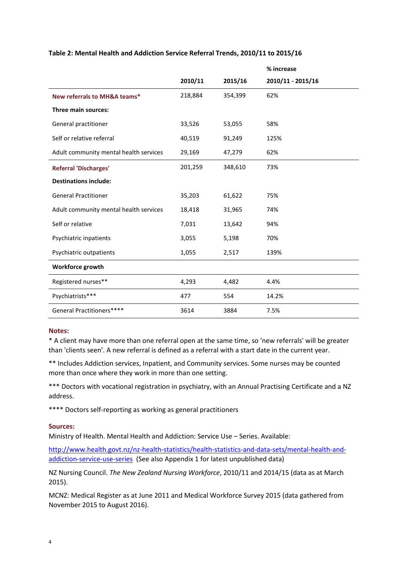|                                        |         |         | % increase        |
|----------------------------------------|---------|---------|-------------------|
|                                        | 2010/11 | 2015/16 | 2010/11 - 2015/16 |
| New referrals to MH&A teams*           | 218,884 | 354,399 | 62%               |
| Three main sources:                    |         |         |                   |
| General practitioner                   | 33,526  | 53,055  | 58%               |
| Self or relative referral              | 40,519  | 91,249  | 125%              |
| Adult community mental health services | 29,169  | 47,279  | 62%               |
| <b>Referral 'Discharges'</b>           | 201,259 | 348,610 | 73%               |
| <b>Destinations include:</b>           |         |         |                   |
| <b>General Practitioner</b>            | 35,203  | 61,622  | 75%               |
| Adult community mental health services | 18,418  | 31,965  | 74%               |
| Self or relative                       | 7,031   | 13,642  | 94%               |
| Psychiatric inpatients                 | 3,055   | 5,198   | 70%               |
| Psychiatric outpatients                | 1,055   | 2,517   | 139%              |
| Workforce growth                       |         |         |                   |
| Registered nurses**                    | 4,293   | 4,482   | 4.4%              |
| Psychiatrists***                       | 477     | 554     | 14.2%             |
| General Practitioners****              | 3614    | 3884    | 7.5%              |

#### **Table 2: Mental Health and Addiction Service Referral Trends, 2010/11 to 2015/16**

#### **Notes:**

\* A client may have more than one referral open at the same time, so 'new referrals' will be greater than 'clients seen'. A new referral is defined as a referral with a start date in the current year.

\*\* Includes Addiction services, Inpatient, and Community services. Some nurses may be counted more than once where they work in more than one setting.

\*\*\* Doctors with vocational registration in psychiatry, with an Annual Practising Certificate and a NZ address.

\*\*\*\* Doctors self-reporting as working as general practitioners

#### **Sources:**

Ministry of Health. Mental Health and Addiction: Service Use – Series. Available:

[http://www.health.govt.nz/nz-health-statistics/health-statistics-and-data-sets/mental-health-and](http://www.health.govt.nz/nz-health-statistics/health-statistics-and-data-sets/mental-health-and-addiction-service-use-series)[addiction-service-use-series](http://www.health.govt.nz/nz-health-statistics/health-statistics-and-data-sets/mental-health-and-addiction-service-use-series) (See also Appendix 1 for latest unpublished data)

NZ Nursing Council. *The New Zealand Nursing Workforce*, 2010/11 and 2014/15 (data as at March 2015).

MCNZ: Medical Register as at June 2011 and Medical Workforce Survey 2015 (data gathered from November 2015 to August 2016).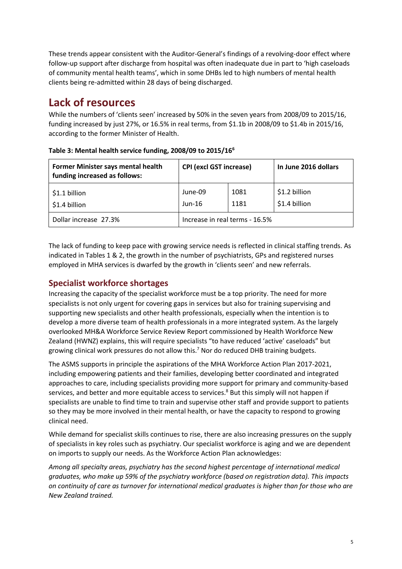These trends appear consistent with the Auditor-General's findings of a revolving-door effect where follow-up support after discharge from hospital was often inadequate due in part to 'high caseloads of community mental health teams', which in some DHBs led to high numbers of mental health clients being re-admitted within 28 days of being discharged.

## **Lack of resources**

While the numbers of 'clients seen' increased by 50% in the seven years from 2008/09 to 2015/16, funding increased by just 27%, or 16.5% in real terms, from \$1.1b in 2008/09 to \$1.4b in 2015/16, according to the former Minister of Health.

| Former Minister says mental health<br>funding increased as follows: | <b>CPI (excl GST increase)</b> |              | In June 2016 dollars           |  |
|---------------------------------------------------------------------|--------------------------------|--------------|--------------------------------|--|
| \$1.1 billion<br>\$1.4 billion                                      | June-09<br>$Jun-16$            | 1081<br>1181 | \$1.2 billion<br>\$1.4 billion |  |
| Dollar increase 27.3%                                               | Increase in real terms - 16.5% |              |                                |  |

**Table 3: Mental health service funding, 2008/09 to 2015/16<sup>6</sup>**

The lack of funding to keep pace with growing service needs is reflected in clinical staffing trends. As indicated in Tables 1 & 2, the growth in the number of psychiatrists, GPs and registered nurses employed in MHA services is dwarfed by the growth in 'clients seen' and new referrals.

## **Specialist workforce shortages**

Increasing the capacity of the specialist workforce must be a top priority. The need for more specialists is not only urgent for covering gaps in services but also for training supervising and supporting new specialists and other health professionals, especially when the intention is to develop a more diverse team of health professionals in a more integrated system. As the largely overlooked MH&A Workforce Service Review Report commissioned by Health Workforce New Zealand (HWNZ) explains, this will require specialists "to have reduced 'active' caseloads" but growing clinical work pressures do not allow this.<sup>7</sup> Nor do reduced DHB training budgets.

The ASMS supports in principle the aspirations of the MHA Workforce Action Plan 2017-2021, including empowering patients and their families, developing better coordinated and integrated approaches to care, including specialists providing more support for primary and community-based services, and better and more equitable access to services. $8$  But this simply will not happen if specialists are unable to find time to train and supervise other staff and provide support to patients so they may be more involved in their mental health, or have the capacity to respond to growing clinical need.

While demand for specialist skills continues to rise, there are also increasing pressures on the supply of specialists in key roles such as psychiatry. Our specialist workforce is aging and we are dependent on imports to supply our needs. As the Workforce Action Plan acknowledges:

*Among all specialty areas, psychiatry has the second highest percentage of international medical graduates, who make up 59% of the psychiatry workforce (based on registration data). This impacts on continuity of care as turnover for international medical graduates is higher than for those who are New Zealand trained.*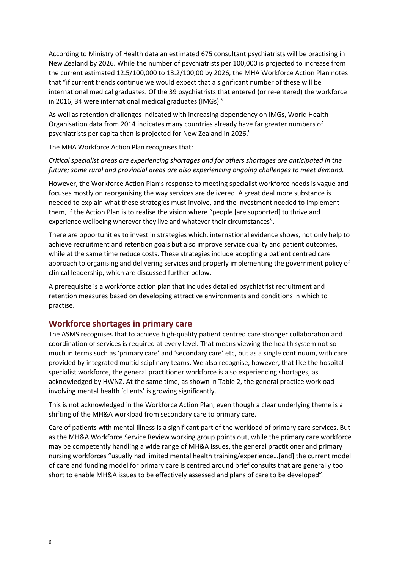According to Ministry of Health data an estimated 675 consultant psychiatrists will be practising in New Zealand by 2026. While the number of psychiatrists per 100,000 is projected to increase from the current estimated 12.5/100,000 to 13.2/100,00 by 2026, the MHA Workforce Action Plan notes that "if current trends continue we would expect that a significant number of these will be international medical graduates. Of the 39 psychiatrists that entered (or re-entered) the workforce in 2016, 34 were international medical graduates (IMGs)."

As well as retention challenges indicated with increasing dependency on IMGs, World Health Organisation data from 2014 indicates many countries already have far greater numbers of psychiatrists per capita than is projected for New Zealand in 2026. $9$ 

The MHA Workforce Action Plan recognises that:

#### *Critical specialist areas are experiencing shortages and for others shortages are anticipated in the future; some rural and provincial areas are also experiencing ongoing challenges to meet demand.*

However, the Workforce Action Plan's response to meeting specialist workforce needs is vague and focuses mostly on reorganising the way services are delivered. A great deal more substance is needed to explain what these strategies must involve, and the investment needed to implement them, if the Action Plan is to realise the vision where "people [are supported] to thrive and experience wellbeing wherever they live and whatever their circumstances".

There are opportunities to invest in strategies which, international evidence shows, not only help to achieve recruitment and retention goals but also improve service quality and patient outcomes, while at the same time reduce costs. These strategies include adopting a patient centred care approach to organising and delivering services and properly implementing the government policy of clinical leadership, which are discussed further below.

A prerequisite is a workforce action plan that includes detailed psychiatrist recruitment and retention measures based on developing attractive environments and conditions in which to practise.

## **Workforce shortages in primary care**

The ASMS recognises that to achieve high-quality patient centred care stronger collaboration and coordination of services is required at every level. That means viewing the health system not so much in terms such as 'primary care' and 'secondary care' etc, but as a single continuum, with care provided by integrated multidisciplinary teams. We also recognise, however, that like the hospital specialist workforce, the general practitioner workforce is also experiencing shortages, as acknowledged by HWNZ. At the same time, as shown in Table 2, the general practice workload involving mental health 'clients' is growing significantly.

This is not acknowledged in the Workforce Action Plan, even though a clear underlying theme is a shifting of the MH&A workload from secondary care to primary care.

Care of patients with mental illness is a significant part of the workload of primary care services. But as the MH&A Workforce Service Review working group points out, while the primary care workforce may be competently handling a wide range of MH&A issues, the general practitioner and primary nursing workforces "usually had limited mental health training/experience…[and] the current model of care and funding model for primary care is centred around brief consults that are generally too short to enable MH&A issues to be effectively assessed and plans of care to be developed".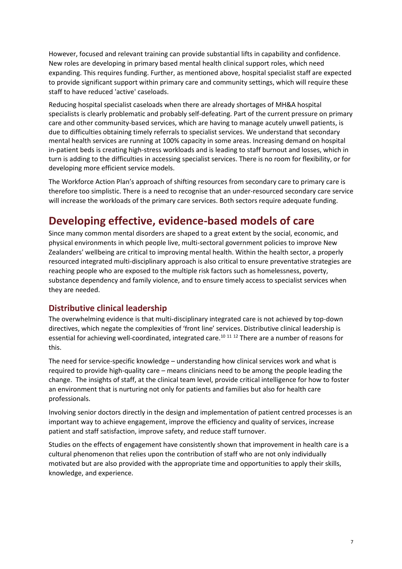However, focused and relevant training can provide substantial lifts in capability and confidence. New roles are developing in primary based mental health clinical support roles, which need expanding. This requires funding. Further, as mentioned above, hospital specialist staff are expected to provide significant support within primary care and community settings, which will require these staff to have reduced 'active' caseloads.

Reducing hospital specialist caseloads when there are already shortages of MH&A hospital specialists is clearly problematic and probably self-defeating. Part of the current pressure on primary care and other community-based services, which are having to manage acutely unwell patients, is due to difficulties obtaining timely referrals to specialist services. We understand that secondary mental health services are running at 100% capacity in some areas. Increasing demand on hospital in-patient beds is creating high-stress workloads and is leading to staff burnout and losses, which in turn is adding to the difficulties in accessing specialist services. There is no room for flexibility, or for developing more efficient service models.

The Workforce Action Plan's approach of shifting resources from secondary care to primary care is therefore too simplistic. There is a need to recognise that an under-resourced secondary care service will increase the workloads of the primary care services. Both sectors require adequate funding.

# **Developing effective, evidence-based models of care**

Since many common mental disorders are shaped to a great extent by the social, economic, and physical environments in which people live, multi-sectoral government policies to improve New Zealanders' wellbeing are critical to improving mental health. Within the health sector, a properly resourced integrated multi-disciplinary approach is also critical to ensure preventative strategies are reaching people who are exposed to the multiple risk factors such as homelessness, poverty, substance dependency and family violence, and to ensure timely access to specialist services when they are needed.

## **Distributive clinical leadership**

The overwhelming evidence is that multi-disciplinary integrated care is not achieved by top-down directives, which negate the complexities of 'front line' services. Distributive clinical leadership is essential for achieving well-coordinated, integrated care.<sup>10 11 12</sup> There are a number of reasons for this.

The need for service-specific knowledge – understanding how clinical services work and what is required to provide high-quality care – means clinicians need to be among the people leading the change. The insights of staff, at the clinical team level, provide critical intelligence for how to foster an environment that is nurturing not only for patients and families but also for health care professionals.

Involving senior doctors directly in the design and implementation of patient centred processes is an important way to achieve engagement, improve the efficiency and quality of services, increase patient and staff satisfaction, improve safety, and reduce staff turnover.

Studies on the effects of engagement have consistently shown that improvement in health care is a cultural phenomenon that relies upon the contribution of staff who are not only individually motivated but are also provided with the appropriate time and opportunities to apply their skills, knowledge, and experience.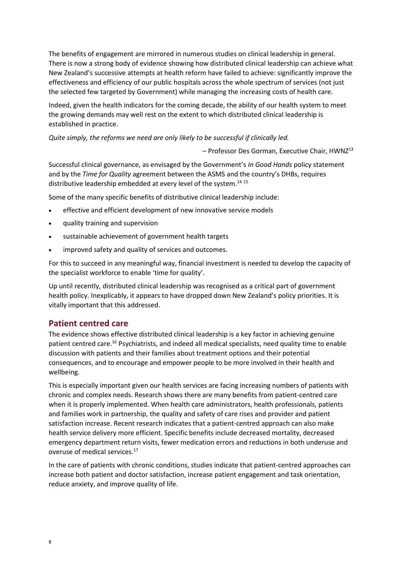The benefits of engagement are mirrored in numerous studies on clinical leadership in general. There is now a strong body of evidence showing how distributed clinical leadership can achieve what New Zealand's successive attempts at health reform have failed to achieve: significantly improve the effectiveness and efficiency of our public hospitals across the whole spectrum of services (not just the selected few targeted by Government) while managing the increasing costs of health care.

Indeed, given the health indicators for the coming decade, the ability of our health system to meet the growing demands may well rest on the extent to which distributed clinical leadership is established in practice.

*Quite simply, the reforms we need are only likely to be successful if clinically led.*

– Professor Des Gorman, Executive Chair, HWNZ<sup>13</sup>

Successful clinical governance, as envisaged by the Government's *In Good Hands* policy statement and by the *Time for Quality* agreement between the ASMS and the country's DHBs, requires distributive leadership embedded at every level of the system.<sup>14 15</sup>

Some of the many specific benefits of distributive clinical leadership include:

- effective and efficient development of new innovative service models
- quality training and supervision
- sustainable achievement of government health targets
- improved safety and quality of services and outcomes.

For this to succeed in any meaningful way, financial investment is needed to develop the capacity of the specialist workforce to enable 'time for quality'.

Up until recently, distributed clinical leadership was recognised as a critical part of government health policy. Inexplicably, it appears to have dropped down New Zealand's policy priorities. It is vitally important that this addressed.

## **Patient centred care**

The evidence shows effective distributed clinical leadership is a key factor in achieving genuine patient centred care.<sup>16</sup> Psychiatrists, and indeed all medical specialists, need quality time to enable discussion with patients and their families about treatment options and their potential consequences, and to encourage and empower people to be more involved in their health and wellbeing.

This is especially important given our health services are facing increasing numbers of patients with chronic and complex needs. Research shows there are many benefits from patient-centred care when it is properly implemented. When health care administrators, health professionals, patients and families work in partnership, the quality and safety of care rises and provider and patient satisfaction increase. Recent research indicates that a patient-centred approach can also make health service delivery more efficient. Specific benefits include decreased mortality, decreased emergency department return visits, fewer medication errors and reductions in both underuse and overuse of medical services.<sup>17</sup>

In the care of patients with chronic conditions, studies indicate that patient-centred approaches can increase both patient and doctor satisfaction, increase patient engagement and task orientation, reduce anxiety, and improve quality of life.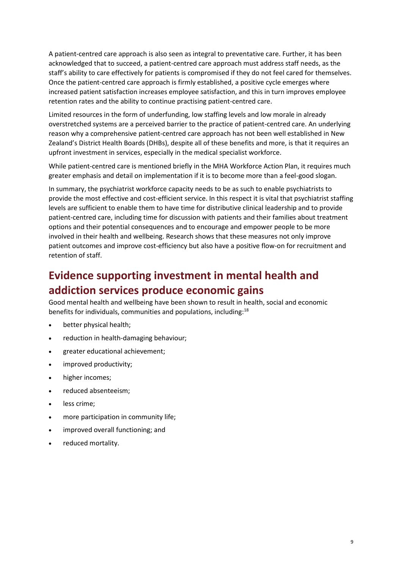A patient-centred care approach is also seen as integral to preventative care. Further, it has been acknowledged that to succeed, a patient-centred care approach must address staff needs, as the staff's ability to care effectively for patients is compromised if they do not feel cared for themselves. Once the patient-centred care approach is firmly established, a positive cycle emerges where increased patient satisfaction increases employee satisfaction, and this in turn improves employee retention rates and the ability to continue practising patient-centred care.

Limited resources in the form of underfunding, low staffing levels and low morale in already overstretched systems are a perceived barrier to the practice of patient-centred care. An underlying reason why a comprehensive patient-centred care approach has not been well established in New Zealand's District Health Boards (DHBs), despite all of these benefits and more, is that it requires an upfront investment in services, especially in the medical specialist workforce.

While patient-centred care is mentioned briefly in the MHA Workforce Action Plan, it requires much greater emphasis and detail on implementation if it is to become more than a feel-good slogan.

In summary, the psychiatrist workforce capacity needs to be as such to enable psychiatrists to provide the most effective and cost-efficient service. In this respect it is vital that psychiatrist staffing levels are sufficient to enable them to have time for distributive clinical leadership and to provide patient-centred care, including time for discussion with patients and their families about treatment options and their potential consequences and to encourage and empower people to be more involved in their health and wellbeing. Research shows that these measures not only improve patient outcomes and improve cost-efficiency but also have a positive flow-on for recruitment and retention of staff.

# **Evidence supporting investment in mental health and addiction services produce economic gains**

Good mental health and wellbeing have been shown to result in health, social and economic benefits for individuals, communities and populations, including:<sup>18</sup>

- better physical health;
- reduction in health-damaging behaviour;
- greater educational achievement;
- improved productivity;
- higher incomes;
- reduced absenteeism;
- less crime;
- more participation in community life;
- improved overall functioning; and
- reduced mortality.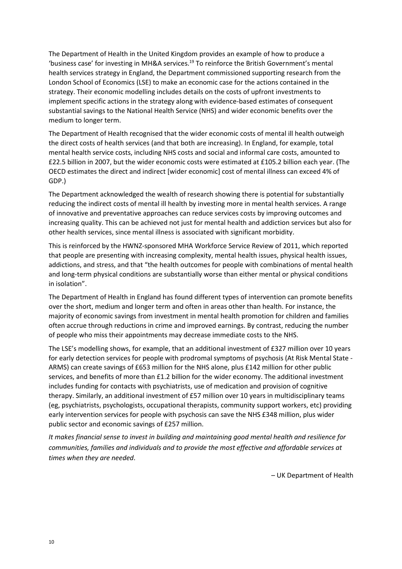The Department of Health in the United Kingdom provides an example of how to produce a 'business case' for investing in MH&A services.<sup>19</sup> To reinforce the British Government's mental health services strategy in England, the Department commissioned supporting research from the London School of Economics (LSE) to make an economic case for the actions contained in the strategy. Their economic modelling includes details on the costs of upfront investments to implement specific actions in the strategy along with evidence-based estimates of consequent substantial savings to the National Health Service (NHS) and wider economic benefits over the medium to longer term.

The Department of Health recognised that the wider economic costs of mental ill health outweigh the direct costs of health services (and that both are increasing). In England, for example, total mental health service costs, including NHS costs and social and informal care costs, amounted to £22.5 billion in 2007, but the wider economic costs were estimated at £105.2 billion each year. (The OECD estimates the direct and indirect [wider economic] cost of mental illness can exceed 4% of GDP.)

The Department acknowledged the wealth of research showing there is potential for substantially reducing the indirect costs of mental ill health by investing more in mental health services. A range of innovative and preventative approaches can reduce services costs by improving outcomes and increasing quality. This can be achieved not just for mental health and addiction services but also for other health services, since mental illness is associated with significant morbidity.

This is reinforced by the HWNZ-sponsored MHA Workforce Service Review of 2011, which reported that people are presenting with increasing complexity, mental health issues, physical health issues, addictions, and stress, and that "the health outcomes for people with combinations of mental health and long-term physical conditions are substantially worse than either mental or physical conditions in isolation".

The Department of Health in England has found different types of intervention can promote benefits over the short, medium and longer term and often in areas other than health. For instance, the majority of economic savings from investment in mental health promotion for children and families often accrue through reductions in crime and improved earnings. By contrast, reducing the number of people who miss their appointments may decrease immediate costs to the NHS.

The LSE's modelling shows, for example, that an additional investment of £327 million over 10 years for early detection services for people with prodromal symptoms of psychosis (At Risk Mental State - ARMS) can create savings of £653 million for the NHS alone, plus £142 million for other public services, and benefits of more than £1.2 billion for the wider economy. The additional investment includes funding for contacts with psychiatrists, use of medication and provision of cognitive therapy. Similarly, an additional investment of £57 million over 10 years in multidisciplinary teams (eg, psychiatrists, psychologists, occupational therapists, community support workers, etc) providing early intervention services for people with psychosis can save the NHS £348 million, plus wider public sector and economic savings of £257 million.

*It makes financial sense to invest in building and maintaining good mental health and resilience for communities, families and individuals and to provide the most effective and affordable services at times when they are needed*.

– UK Department of Health